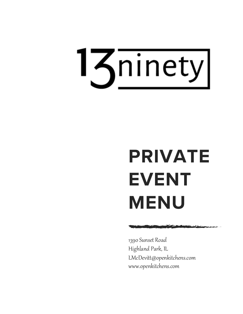

# **PRIVATE EVENT MENU**

1390 Sunset Road Highland Park, IL LMcDevitt@openkitchens.com www.openkitchens.com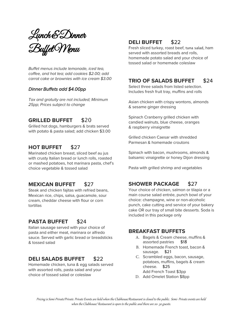Lunch & Dinner Buffet Menu

*Buffet menus include lemonade, iced tea, coffee, and hot tea; add cookies \$2.00; add carrot cake or brownies with ice cream \$3.00*

#### *Dinner Buffets add \$4.00pp*

*Tax and gratuity are not included; Minimum 25pp; Prices subject to change* 

## **GRILLED BUFFET** \$20

Grilled hot dogs, hamburgers & brats served with potato & pasta salad; add chicken \$3.00

# **HOT BUFFET** \$27

Marinated chicken breast, sliced beef au jus with crusty Italian bread or lunch rolls, roasted or mashed potatoes, hot marinara pasta, chef's choice vegetable & tossed salad

## **MEXICAN BUFFET** \$27

Steak and chicken fajitas with refried beans, Mexican rice, chips, salsa, guacamole, sour cream, cheddar cheese with flour or corn tortillas

# **PASTA BUFFET** \$24

Italian sausage served with your choice of pasta and either meat, marinara or alfredo sauce. Served with garlic bread or breadsticks & tossed salad

# **DELI SALADS BUFFET** \$22

Homemade chicken, tuna & egg salads served with assorted rolls, pasta salad and your choice of tossed salad or coleslaw

# **DELI BUFFET** \$22

Fresh sliced turkey, roast beef, tuna salad, ham served with assorted breads and rolls, homemade potato salad and your choice of tossed salad or homemade coleslaw

## **TRIO OF SALADS BUFFET** \$24

Select three salads from listed selection. Includes fresh fruit tray, muffins and rolls

Asian chicken with crispy wontons, almonds & sesame ginger dressing

Spinach Cranberry grilled chicken with candied walnuts, blue cheese, oranges & raspberry vinaigrette

Grilled chicken Caesar with shredded Parmesan & homemade croutons

Spinach with bacon, mushrooms, almonds & balsamic vinaigrette or honey Dijon dressing

Pasta with grilled shrimp and vegetables

# **SHOWER PACKAGE** \$27

Your choice of chicken, salmon or tilapia or a main course salad entrée, punch bowl of your choice: champagne, wine or non-alcoholic punch, cake cutting and service of your bakery cake OR our tray of small bite desserts. Soda is included in this package only

## **BREAKFAST BUFFETS**

- A. Bagels & Cream cheese, muffins & assorted pastries \$18
- B. Homemade French toast, bacon & sausage. \$21
- C. Scrambled eggs, bacon, sausage, potatoes, muffins, bagels & cream cheese. \$25 Add French Toast \$3pp
- D. Add Omelet Station \$8pp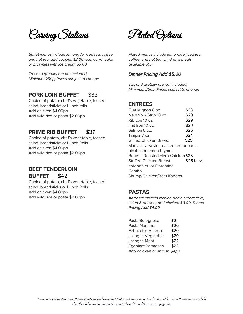Carving Stations

*Buffet menus include lemonade, iced tea, coffee, and hot tea; add cookies \$2.00; add carrot cake or brownies with ice cream \$3.00*

*Tax and gratuity are not included; Minimum 25pp; Prices subject to change*

## **PORK LOIN BUFFET** \$33

Choice of potato, chef's vegetable, tossed salad, breadsticks or Lunch rolls Add chicken \$4.00pp Add wild rice or pasta \$2.00pp

## **PRIME RIB BUFFET** \$37

Choice of potato, chef's vegetable, tossed salad, breadsticks or Lunch Rolls Add chicken \$4.00pp Add wild rice or pasta \$2.00pp

## **BEEF TENDERLOIN BUFFET** \$42

Choice of potato, chef's vegetable, tossed salad, breadsticks or Lunch Rolls Add chicken \$4.00pp Add wild rice or pasta \$2.00pp

Plated Options

*Plated menus include lemonade, iced tea, coffee, and hot tea; children's meals available \$13* 

#### *Dinner Pricing Add \$5.00*

*Tax and gratuity are not included; Minimum 25pp; Prices subject to change*

## **ENTREES**

Filet Mignon 8 oz. \$33 New York Strip 10 oz. \$29  $Rib Eye 10 oz.$   $$29$ Flat Iron 10 oz. \$29 Salmon 8 oz. \$25 Tilapia 8 oz. \$24 Grilled Chicken Breast \$25 Marsala, vesuvio, roasted red pepper, picatta, or lemon-thyme Bone-in Roasted Herb Chicken.\$25 Stuffed Chicken Breast. \$25 Kiev, cordonbleu or Florentine Combo Shrimp/Chicken/Beef Kabobs

## **PASTAS**

*All pasta entrees include garlic breadsticks, salad & dessert; add chicken \$3.00, Dinner Pricing Add \$4.00*

| Pasta Bolognese             | \$21 |
|-----------------------------|------|
| Pasta Marinara              | \$20 |
| <b>Fettuccine Alfredo</b>   | \$20 |
| Lasagna Vegetable           | \$20 |
| Lasagna Meat                | \$22 |
| <b>Eggplant Parmesan</b>    | \$23 |
| Add chicken or shrimp \$4pp |      |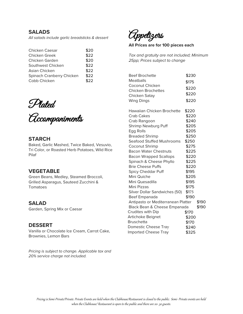#### **SALADS**

*All salads include garlic breadsticks & dessert*

| Chicken Caesar            | \$20 |
|---------------------------|------|
| <b>Chicken Greek</b>      | \$22 |
| Chicken Garden            | \$20 |
| Southwest Chicken         | \$22 |
| Asian Chicken             | \$22 |
| Spinach Cranberry Chicken | \$22 |
| Cobb Chicken              | \$22 |

Plated

Accompaniments

#### **STARCH**

Baked, Garlic Mashed, Twice Baked, Vesuvio, Tri Color, or Roasted Herb Potatoes, Wild Rice Pilaf

#### **VEGETABLE**

Green Beans, Medley, Steamed Broccoli, Grilled Asparagus, Sauteed Zucchini & Tomatoes

## **SALAD**

Garden, Spring Mix or Caesar

#### **DESSERT**

Vanilla or Chocolate Ice Cream, Carrot Cake, Brownies, Lemon Bars

*Pricing is subject to change. Applicable tax and 20% service charge not included.*

Appetizers

**All Prices are for 100 pieces each**

*Tax and gratuity are not included; Minimum 25pp; Prices subject to change* 

| <b>Beef Brochette</b>              | \$230 |       |
|------------------------------------|-------|-------|
| Meatballs                          | \$175 |       |
| Coconut Chicken                    | \$220 |       |
| <b>Chicken Brochettes</b>          | \$220 |       |
| Chicken Satay                      | \$220 |       |
| <b>Wing Dings</b>                  |       |       |
| Hawaiian Chicken Brochette         | \$220 |       |
| Crab Cakes                         | \$220 |       |
| Crab Rangoon                       | \$240 |       |
| Shrimp Newburg Puff                | \$205 |       |
| Egg Rolls                          | \$205 |       |
| <b>Breaded Shrimp</b>              | \$250 |       |
| <b>Seafood Stuffed Mushrooms</b>   | \$250 |       |
| Coconut Shrimp                     | \$275 |       |
| <b>Bacon Water Chestnuts</b>       | \$225 |       |
| <b>Bacon Wrapped Scallops</b>      | \$220 |       |
| Spinach & Cheese Phyllo            | \$225 |       |
| <b>Brie Cheese Puffs</b>           | \$220 |       |
| Spicy Cheddar Puff                 | \$195 |       |
| Mini Quiche                        | \$205 |       |
| Mini Quesadilla                    | \$195 |       |
| Mini Pizzas                        | \$175 |       |
| Silver Dollar Sandwiches (50)      | \$175 |       |
| Beef Empanada                      | \$190 |       |
| Antipasto or Mediterranean Platter |       | \$190 |
| Black Bean & Cheese Empanada       |       | \$190 |
| <b>Crudites with Dip</b>           | \$170 |       |
| Artichoke Beignet                  | \$200 |       |
| <b>Bruschetta</b>                  | \$170 |       |
| Domestic Cheese Tray<br>\$240      |       |       |
| <b>Imported Cheese Tray</b>        | \$325 |       |